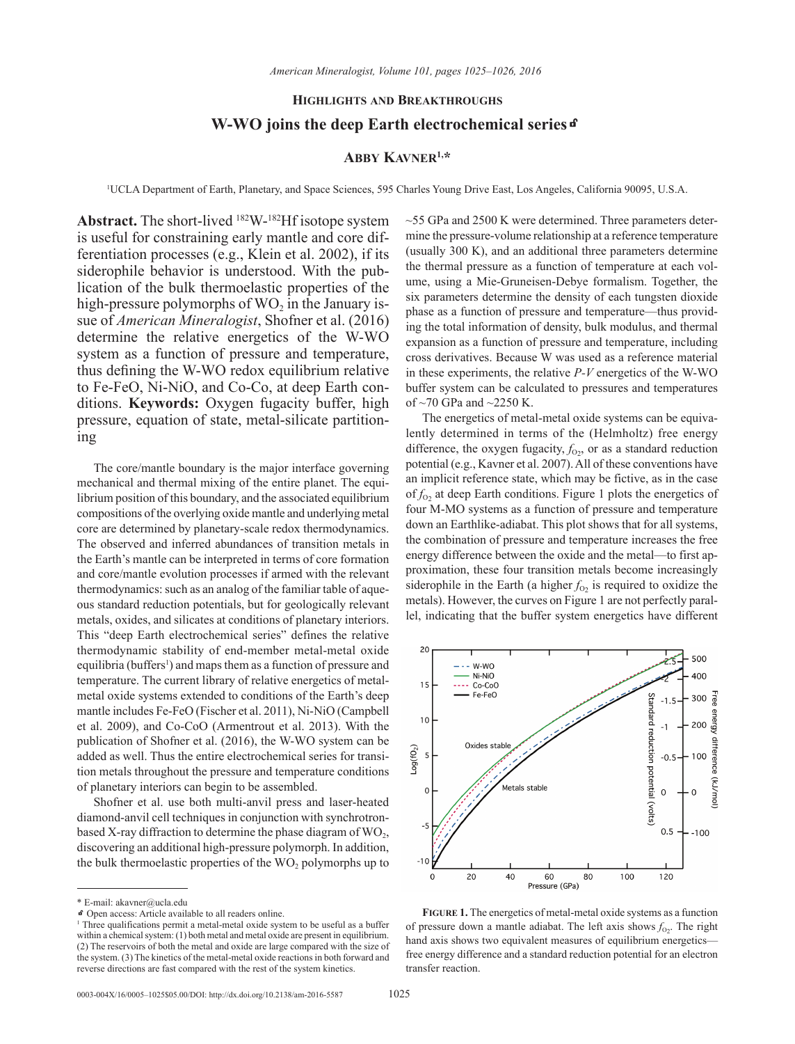## **Highlights and Breakthroughs**

## **W-WO joins the deep Earth electrochemical series**k

## **Abby Kavner1,\***

1 UCLA Department of Earth, Planetary, and Space Sciences, 595 Charles Young Drive East, Los Angeles, California 90095, U.S.A.

**Abstract.** The short-lived 182W-182Hf isotope system is useful for constraining early mantle and core differentiation processes (e.g., Klein et al. 2002), if its siderophile behavior is understood. With the publication of the bulk thermoelastic properties of the high-pressure polymorphs of  $WO_2$  in the January issue of *American Mineralogist*, Shofner et al. (2016) determine the relative energetics of the W-WO system as a function of pressure and temperature, thus defining the W-WO redox equilibrium relative to Fe-FeO, Ni-NiO, and Co-Co, at deep Earth conditions. **Keywords:** Oxygen fugacity buffer, high pressure, equation of state, metal-silicate partitioning

The core/mantle boundary is the major interface governing mechanical and thermal mixing of the entire planet. The equilibrium position of this boundary, and the associated equilibrium compositions of the overlying oxide mantle and underlying metal core are determined by planetary-scale redox thermodynamics. The observed and inferred abundances of transition metals in the Earth's mantle can be interpreted in terms of core formation and core/mantle evolution processes if armed with the relevant thermodynamics: such as an analog of the familiar table of aqueous standard reduction potentials, but for geologically relevant metals, oxides, and silicates at conditions of planetary interiors. This "deep Earth electrochemical series" defines the relative thermodynamic stability of end-member metal-metal oxide equilibria (buffers<sup>1</sup>) and maps them as a function of pressure and temperature. The current library of relative energetics of metalmetal oxide systems extended to conditions of the Earth's deep mantle includes Fe-FeO (Fischer et al. 2011), Ni-NiO (Campbell et al. 2009), and Co-CoO (Armentrout et al. 2013). With the publication of Shofner et al. (2016), the W-WO system can be added as well. Thus the entire electrochemical series for transition metals throughout the pressure and temperature conditions of planetary interiors can begin to be assembled.

Shofner et al. use both multi-anvil press and laser-heated diamond-anvil cell techniques in conjunction with synchrotronbased X-ray diffraction to determine the phase diagram of  $WO_2$ , discovering an additional high-pressure polymorph. In addition, the bulk thermoelastic properties of the  $WO_2$  polymorphs up to ~55 GPa and 2500 K were determined. Three parameters determine the pressure-volume relationship at a reference temperature (usually 300 K), and an additional three parameters determine the thermal pressure as a function of temperature at each volume, using a Mie-Gruneisen-Debye formalism. Together, the six parameters determine the density of each tungsten dioxide phase as a function of pressure and temperature—thus providing the total information of density, bulk modulus, and thermal expansion as a function of pressure and temperature, including cross derivatives. Because W was used as a reference material in these experiments, the relative *P-V* energetics of the W-WO buffer system can be calculated to pressures and temperatures of  $\sim$ 70 GPa and  $\sim$ 2250 K.

The energetics of metal-metal oxide systems can be equivalently determined in terms of the (Helmholtz) free energy difference, the oxygen fugacity,  $f_{02}$ , or as a standard reduction potential (e.g., Kavner et al. 2007). All of these conventions have an implicit reference state, which may be fictive, as in the case of  $f_{02}$  at deep Earth conditions. Figure 1 plots the energetics of four M-MO systems as a function of pressure and temperature down an Earthlike-adiabat. This plot shows that for all systems, the combination of pressure and temperature increases the free energy difference between the oxide and the metal—to first approximation, these four transition metals become increasingly siderophile in the Earth (a higher  $f_{02}$  is required to oxidize the metals). However, the curves on Figure 1 are not perfectly parallel, indicating that the buffer system energetics have different



**Figure 1.** The energetics of metal-metal oxide systems as a function of pressure down a mantle adiabat. The left axis shows  $f_{02}$ . The right hand axis shows two equivalent measures of equilibrium energetics free energy difference and a standard reduction potential for an electron transfer reaction.

<sup>\*</sup> E-mail: akavner@ucla.edu

kOpen access: Article available to all readers online.

<sup>&</sup>lt;sup>1</sup> Three qualifications permit a metal-metal oxide system to be useful as a buffer within a chemical system: (1) both metal and metal oxide are present in equilibrium. (2) The reservoirs of both the metal and oxide are large compared with the size of the system. (3) The kinetics of the metal-metal oxide reactions in both forward and reverse directions are fast compared with the rest of the system kinetics.